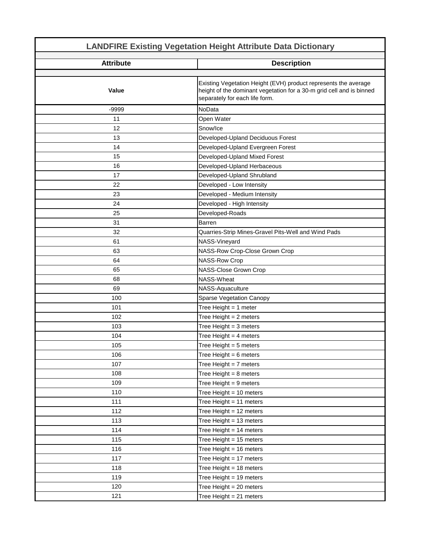| <b>LANDFIRE Existing Vegetation Height Attribute Data Dictionary</b> |                                                                                                        |
|----------------------------------------------------------------------|--------------------------------------------------------------------------------------------------------|
| <b>Attribute</b>                                                     | <b>Description</b>                                                                                     |
|                                                                      | Existing Vegetation Height (EVH) product represents the average                                        |
| Value                                                                | height of the dominant vegetation for a 30-m grid cell and is binned<br>separately for each life form. |
| $-9999$                                                              | NoData                                                                                                 |
| 11                                                                   | Open Water                                                                                             |
| 12                                                                   | Snow/Ice                                                                                               |
| 13                                                                   | Developed-Upland Deciduous Forest                                                                      |
| 14                                                                   | Developed-Upland Evergreen Forest                                                                      |
| 15                                                                   | Developed-Upland Mixed Forest                                                                          |
| 16                                                                   | Developed-Upland Herbaceous                                                                            |
| 17                                                                   | Developed-Upland Shrubland                                                                             |
| 22                                                                   | Developed - Low Intensity                                                                              |
| 23                                                                   | Developed - Medium Intensity                                                                           |
| 24                                                                   | Developed - High Intensity                                                                             |
| 25                                                                   | Developed-Roads                                                                                        |
| 31                                                                   | <b>Barren</b>                                                                                          |
| 32                                                                   | Quarries-Strip Mines-Gravel Pits-Well and Wind Pads                                                    |
| 61                                                                   | NASS-Vineyard                                                                                          |
| 63                                                                   | NASS-Row Crop-Close Grown Crop                                                                         |
| 64                                                                   | <b>NASS-Row Crop</b>                                                                                   |
| 65                                                                   | NASS-Close Grown Crop                                                                                  |
| 68                                                                   | NASS-Wheat                                                                                             |
| 69                                                                   | NASS-Aquaculture                                                                                       |
| 100                                                                  | Sparse Vegetation Canopy                                                                               |
| 101                                                                  | Tree Height = 1 meter                                                                                  |
| 102                                                                  | Tree Height = 2 meters                                                                                 |
| 103                                                                  | Tree Height $=$ 3 meters                                                                               |
| 104                                                                  | Tree Height = $4$ meters                                                                               |
| 105                                                                  | Tree Height = $5$ meters                                                                               |
| 106                                                                  | Tree Height = $6$ meters                                                                               |
| 107                                                                  | Tree Height = $7$ meters                                                                               |
| 108                                                                  | Tree Height = $8$ meters                                                                               |
| 109                                                                  | Tree Height = $9$ meters                                                                               |
| 110                                                                  | Tree Height = 10 meters                                                                                |
| 111                                                                  | Tree Height = 11 meters                                                                                |
| 112                                                                  | Tree Height = 12 meters                                                                                |
| 113                                                                  | Tree Height = 13 meters                                                                                |
| 114                                                                  | Tree Height = 14 meters                                                                                |
| 115                                                                  | Tree Height = 15 meters                                                                                |
| 116                                                                  | Tree Height = 16 meters                                                                                |
| 117                                                                  | Tree Height = 17 meters                                                                                |
| 118                                                                  | Tree Height = $18$ meters                                                                              |
| 119                                                                  | Tree Height = 19 meters                                                                                |
| 120                                                                  | Tree Height = 20 meters                                                                                |
| 121                                                                  | Tree Height = 21 meters                                                                                |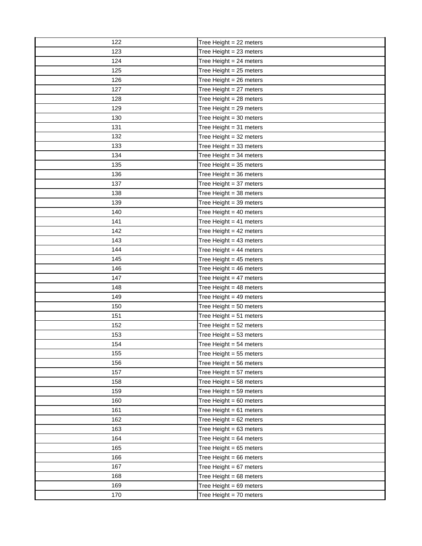| 122 | Tree Height $= 22$ meters |
|-----|---------------------------|
| 123 | Tree Height = 23 meters   |
| 124 | Tree Height = 24 meters   |
| 125 | Tree Height = 25 meters   |
| 126 | Tree Height = 26 meters   |
| 127 | Tree Height = 27 meters   |
| 128 | Tree Height = 28 meters   |
| 129 | Tree Height = 29 meters   |
| 130 | Tree Height = 30 meters   |
| 131 | Tree Height = 31 meters   |
| 132 | Tree Height = 32 meters   |
| 133 | Tree Height = 33 meters   |
| 134 | Tree Height = 34 meters   |
| 135 | Tree Height = 35 meters   |
| 136 | Tree Height = 36 meters   |
| 137 | Tree Height = 37 meters   |
| 138 | Tree Height = 38 meters   |
| 139 | Tree Height = 39 meters   |
| 140 | Tree Height = 40 meters   |
| 141 | Tree Height = 41 meters   |
| 142 | Tree Height = 42 meters   |
| 143 | Tree Height = 43 meters   |
| 144 | Tree Height = 44 meters   |
| 145 | Tree Height = 45 meters   |
| 146 | Tree Height = 46 meters   |
| 147 | Tree Height = 47 meters   |
| 148 | Tree Height = 48 meters   |
| 149 | Tree Height = 49 meters   |
| 150 | Tree Height = 50 meters   |
| 151 | Tree Height = 51 meters   |
| 152 | Tree Height = 52 meters   |
| 153 | Tree Height = $53$ meters |
| 154 | Tree Height = $54$ meters |
| 155 | Tree Height = 55 meters   |
| 156 | Tree Height = 56 meters   |
| 157 | Tree Height = 57 meters   |
| 158 | Tree Height = 58 meters   |
| 159 | Tree Height = 59 meters   |
| 160 | Tree Height = 60 meters   |
| 161 | Tree Height = $61$ meters |
| 162 | Tree Height = 62 meters   |
| 163 | Tree Height = 63 meters   |
| 164 | Tree Height = 64 meters   |
| 165 | Tree Height = 65 meters   |
| 166 | Tree Height = 66 meters   |
| 167 | Tree Height = 67 meters   |
| 168 | Tree Height = 68 meters   |
| 169 | Tree Height = 69 meters   |
| 170 | Tree Height = 70 meters   |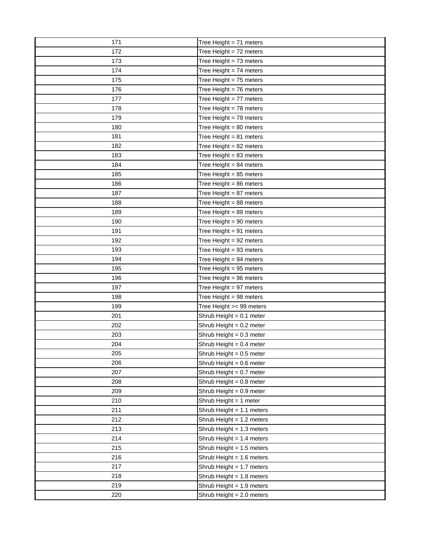| 171 | Tree Height = $71$ meters   |
|-----|-----------------------------|
| 172 | Tree Height = 72 meters     |
| 173 | Tree Height = 73 meters     |
| 174 | Tree Height = 74 meters     |
| 175 | Tree Height = 75 meters     |
| 176 | Tree Height = 76 meters     |
| 177 | Tree Height = 77 meters     |
| 178 | Tree Height = 78 meters     |
| 179 | Tree Height = 79 meters     |
| 180 | Tree Height = 80 meters     |
| 181 | Tree Height = 81 meters     |
| 182 | Tree Height = 82 meters     |
| 183 | Tree Height = 83 meters     |
| 184 | Tree Height = 84 meters     |
| 185 | Tree Height = 85 meters     |
| 186 | Tree Height = 86 meters     |
| 187 | Tree Height = 87 meters     |
| 188 | Tree Height = 88 meters     |
| 189 | Tree Height = 89 meters     |
| 190 | Tree Height = 90 meters     |
| 191 | Tree Height = 91 meters     |
| 192 | Tree Height = 92 meters     |
| 193 | Tree Height = 93 meters     |
| 194 | Tree Height = 94 meters     |
| 195 | Tree Height = 95 meters     |
| 196 | Tree Height = 96 meters     |
| 197 | Tree Height = 97 meters     |
| 198 | Tree Height = 98 meters     |
| 199 | Tree Height >= 99 meters    |
| 201 | Shrub Height = 0.1 meter    |
| 202 | Shrub Height = 0.2 meter    |
| 203 | Shrub Height = 0.3 meter    |
| 204 | Shrub Height = $0.4$ meter  |
| 205 | Shrub Height = 0.5 meter    |
| 206 | Shrub Height = 0.6 meter    |
| 207 | Shrub Height = 0.7 meter    |
| 208 | Shrub Height = 0.8 meter    |
| 209 | Shrub Height = 0.9 meter    |
| 210 | Shrub Height = 1 meter      |
| 211 | Shrub Height = 1.1 meters   |
| 212 | Shrub Height = 1.2 meters   |
| 213 | Shrub Height = $1.3$ meters |
| 214 | Shrub Height = 1.4 meters   |
| 215 | Shrub Height = 1.5 meters   |
| 216 | Shrub Height = 1.6 meters   |
| 217 | Shrub Height = 1.7 meters   |
| 218 | Shrub Height = 1.8 meters   |
| 219 |                             |
|     | Shrub Height = 1.9 meters   |
| 220 | Shrub Height = 2.0 meters   |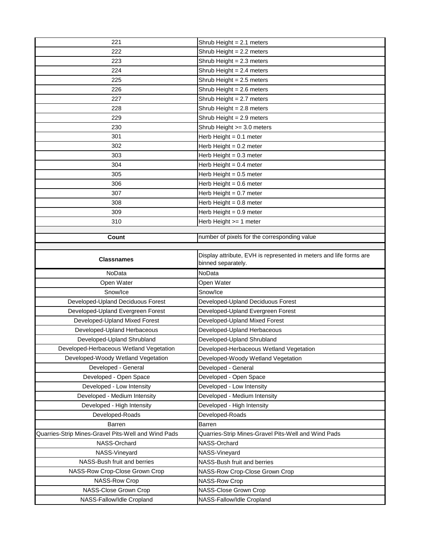| 221                                                 | Shrub Height $= 2.1$ meters                                                              |
|-----------------------------------------------------|------------------------------------------------------------------------------------------|
| 222                                                 | Shrub Height = 2.2 meters                                                                |
| 223                                                 | Shrub Height = 2.3 meters                                                                |
| 224                                                 | Shrub Height = 2.4 meters                                                                |
| 225                                                 | Shrub Height = 2.5 meters                                                                |
| 226                                                 | Shrub Height = 2.6 meters                                                                |
| 227                                                 | Shrub Height = 2.7 meters                                                                |
| 228                                                 | Shrub Height = 2.8 meters                                                                |
| 229                                                 | Shrub Height = 2.9 meters                                                                |
| 230                                                 | Shrub Height >= 3.0 meters                                                               |
| 301                                                 | Herb Height = $0.1$ meter                                                                |
| 302                                                 | Herb Height = 0.2 meter                                                                  |
| 303                                                 | Herb Height = 0.3 meter                                                                  |
| 304                                                 | Herb Height = 0.4 meter                                                                  |
| 305                                                 | Herb Height = 0.5 meter                                                                  |
| 306                                                 | Herb Height = 0.6 meter                                                                  |
| 307                                                 | Herb Height = 0.7 meter                                                                  |
| 308                                                 | Herb Height = 0.8 meter                                                                  |
| 309                                                 | Herb Height = 0.9 meter                                                                  |
| 310                                                 | Herb Height >= 1 meter                                                                   |
|                                                     |                                                                                          |
| Count                                               | number of pixels for the corresponding value                                             |
|                                                     |                                                                                          |
| <b>Classnames</b>                                   | Display attribute, EVH is represented in meters and life forms are<br>binned separately. |
| NoData                                              | NoData                                                                                   |
| Open Water                                          | Open Water                                                                               |
| Snow/Ice                                            | Snow/Ice                                                                                 |
| Developed-Upland Deciduous Forest                   | Developed-Upland Deciduous Forest                                                        |
| Developed-Upland Evergreen Forest                   | Developed-Upland Evergreen Forest                                                        |
| Developed-Upland Mixed Forest                       | Developed-Upland Mixed Forest                                                            |
| Developed-Upland Herbaceous                         | Developed-Upland Herbaceous                                                              |
| Developed-Upland Shrubland                          | Developed-Upland Shrubland                                                               |
| Developed-Herbaceous Wetland Vegetation             | Developed-Herbaceous Wetland Vegetation                                                  |
| Developed-Woody Wetland Vegetation                  | Developed-Woody Wetland Vegetation                                                       |
| Developed - General                                 | Developed - General                                                                      |
| Developed - Open Space                              | Developed - Open Space                                                                   |
| Developed - Low Intensity                           | Developed - Low Intensity                                                                |
| Developed - Medium Intensity                        | Developed - Medium Intensity                                                             |
| Developed - High Intensity                          | Developed - High Intensity                                                               |
| Developed-Roads                                     | Developed-Roads                                                                          |
| Barren                                              |                                                                                          |
|                                                     | Barren                                                                                   |
| Quarries-Strip Mines-Gravel Pits-Well and Wind Pads | Quarries-Strip Mines-Gravel Pits-Well and Wind Pads                                      |
| NASS-Orchard                                        | NASS-Orchard                                                                             |
| NASS-Vineyard                                       | NASS-Vineyard                                                                            |
| NASS-Bush fruit and berries                         | NASS-Bush fruit and berries                                                              |
| NASS-Row Crop-Close Grown Crop                      | NASS-Row Crop-Close Grown Crop                                                           |
| NASS-Row Crop                                       | <b>NASS-Row Crop</b>                                                                     |
|                                                     |                                                                                          |
| NASS-Close Grown Crop<br>NASS-Fallow/Idle Cropland  | NASS-Close Grown Crop<br>NASS-Fallow/Idle Cropland                                       |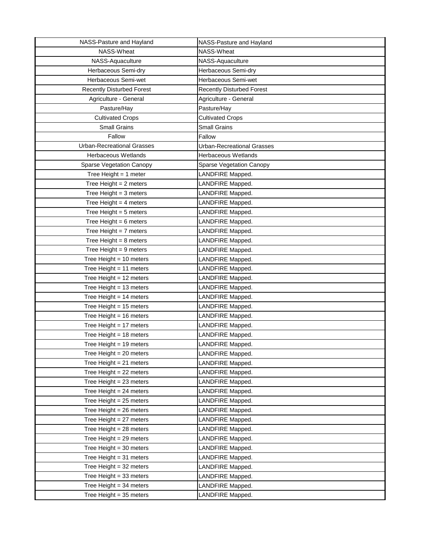| NASS-Pasture and Hayland          | NASS-Pasture and Hayland         |
|-----------------------------------|----------------------------------|
| NASS-Wheat                        | NASS-Wheat                       |
| NASS-Aquaculture                  | NASS-Aquaculture                 |
| Herbaceous Semi-dry               | Herbaceous Semi-dry              |
| Herbaceous Semi-wet               | Herbaceous Semi-wet              |
| <b>Recently Disturbed Forest</b>  | <b>Recently Disturbed Forest</b> |
| Agriculture - General             | Agriculture - General            |
| Pasture/Hay                       | Pasture/Hay                      |
| <b>Cultivated Crops</b>           | <b>Cultivated Crops</b>          |
| <b>Small Grains</b>               | <b>Small Grains</b>              |
| Fallow                            | Fallow                           |
| <b>Urban-Recreational Grasses</b> | Urban-Recreational Grasses       |
| Herbaceous Wetlands               | Herbaceous Wetlands              |
| Sparse Vegetation Canopy          | <b>Sparse Vegetation Canopy</b>  |
| Tree Height = $1$ meter           | LANDFIRE Mapped.                 |
| Tree Height $= 2$ meters          | LANDFIRE Mapped.                 |
| Tree Height = $3$ meters          | LANDFIRE Mapped.                 |
| Tree Height $=$ 4 meters          | LANDFIRE Mapped.                 |
| Tree Height = $5$ meters          | LANDFIRE Mapped.                 |
| Tree Height = $6$ meters          | LANDFIRE Mapped.                 |
| Tree Height = $7$ meters          | LANDFIRE Mapped.                 |
| Tree Height = $8$ meters          | LANDFIRE Mapped.                 |
| Tree Height = $9$ meters          | LANDFIRE Mapped.                 |
| Tree Height = $10$ meters         | LANDFIRE Mapped.                 |
| Tree Height = $11$ meters         | LANDFIRE Mapped.                 |
| Tree Height = $12$ meters         | LANDFIRE Mapped.                 |
| Tree Height = 13 meters           | LANDFIRE Mapped.                 |
| Tree Height = $14$ meters         | LANDFIRE Mapped.                 |
| Tree Height = $15$ meters         | LANDFIRE Mapped.                 |
| Tree Height = $16$ meters         | LANDFIRE Mapped.                 |
| Tree Height = $17$ meters         | LANDFIRE Mapped.                 |
| Tree Height = $18$ meters         | LANDFIRE Mapped.                 |
| Tree Height = $19$ meters         | LANDFIRE Mapped.                 |
| Tree Height $= 20$ meters         | LANDFIRE Mapped.                 |
| Tree Height $= 21$ meters         | LANDFIRE Mapped.                 |
| Tree Height = $22$ meters         | LANDFIRE Mapped.                 |
| Tree Height $= 23$ meters         | LANDFIRE Mapped.                 |
| Tree Height = $24$ meters         | LANDFIRE Mapped.                 |
| Tree Height = $25$ meters         | LANDFIRE Mapped.                 |
| Tree Height = $26$ meters         | LANDFIRE Mapped.                 |
| Tree Height = $27$ meters         | LANDFIRE Mapped.                 |
| Tree Height = $28$ meters         | LANDFIRE Mapped.                 |
| Tree Height = $29$ meters         | LANDFIRE Mapped.                 |
| Tree Height = $30$ meters         | LANDFIRE Mapped.                 |
| Tree Height = $31$ meters         | LANDFIRE Mapped.                 |
| Tree Height = $32$ meters         | LANDFIRE Mapped.                 |
| Tree Height = $33$ meters         | LANDFIRE Mapped.                 |
| Tree Height = $34$ meters         | LANDFIRE Mapped.                 |
| Tree Height = $35$ meters         | LANDFIRE Mapped.                 |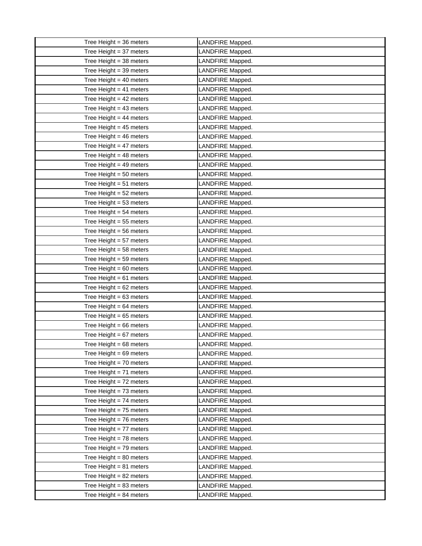| Tree Height = $36$ meters                              | LANDFIRE Mapped.                     |
|--------------------------------------------------------|--------------------------------------|
| Tree Height = $37$ meters                              | LANDFIRE Mapped.                     |
| Tree Height = $38$ meters                              | LANDFIRE Mapped.                     |
| Tree Height = $39$ meters                              | LANDFIRE Mapped.                     |
| Tree Height = $40$ meters                              | LANDFIRE Mapped.                     |
| Tree Height = $41$ meters                              | LANDFIRE Mapped.                     |
| Tree Height = $42$ meters                              | LANDFIRE Mapped.                     |
| Tree Height = $43$ meters                              | LANDFIRE Mapped.                     |
| Tree Height = $44$ meters                              | LANDFIRE Mapped.                     |
| Tree Height = $45$ meters                              | LANDFIRE Mapped.                     |
| Tree Height = $46$ meters                              | LANDFIRE Mapped.                     |
| Tree Height = $47$ meters                              | LANDFIRE Mapped.                     |
| Tree Height = $48$ meters                              | LANDFIRE Mapped.                     |
| Tree Height = $49$ meters                              | LANDFIRE Mapped.                     |
| Tree Height = $50$ meters                              | LANDFIRE Mapped.                     |
| Tree Height = $51$ meters                              | LANDFIRE Mapped.                     |
| Tree Height = $52$ meters                              | LANDFIRE Mapped.                     |
| Tree Height = $53$ meters                              | LANDFIRE Mapped.                     |
| Tree Height = $54$ meters                              | LANDFIRE Mapped.                     |
| Tree Height = $55$ meters                              | LANDFIRE Mapped.                     |
| Tree Height = $56$ meters                              | LANDFIRE Mapped.                     |
| Tree Height = $57$ meters                              | LANDFIRE Mapped.                     |
| Tree Height = $58$ meters                              | LANDFIRE Mapped.                     |
| Tree Height = $59$ meters                              | LANDFIRE Mapped.                     |
| Tree Height = $60$ meters                              | LANDFIRE Mapped.                     |
| Tree Height = $61$ meters                              | LANDFIRE Mapped.                     |
| Tree Height = $62$ meters                              | LANDFIRE Mapped.                     |
| Tree Height = $63$ meters                              | LANDFIRE Mapped.                     |
| Tree Height = $64$ meters                              | LANDFIRE Mapped.                     |
| Tree Height = $65$ meters                              | LANDFIRE Mapped.                     |
| Tree Height = $66$ meters                              | LANDFIRE Mapped.                     |
| Tree Height = $67$ meters                              | LANDFIRE Mapped.                     |
| Tree Height $= 68$ meters                              | LANDFIRE Mapped.                     |
| Tree Height = $69$ meters                              | LANDFIRE Mapped.                     |
| Tree Height = $70$ meters                              | LANDFIRE Mapped.                     |
| Tree Height = $71$ meters                              | LANDFIRE Mapped.                     |
| Tree Height = 72 meters                                | LANDFIRE Mapped.                     |
| Tree Height = $73$ meters                              | LANDFIRE Mapped.                     |
| Tree Height = $74$ meters                              | LANDFIRE Mapped.                     |
| Tree Height = $75$ meters                              | LANDFIRE Mapped.                     |
| Tree Height = $76$ meters                              | LANDFIRE Mapped.                     |
| Tree Height = $77$ meters                              | LANDFIRE Mapped.                     |
| Tree Height = $78$ meters                              | LANDFIRE Mapped.                     |
| Tree Height = $79$ meters                              | LANDFIRE Mapped.                     |
| Tree Height = $80$ meters<br>Tree Height = $81$ meters | LANDFIRE Mapped.                     |
| Tree Height = $82$ meters                              | LANDFIRE Mapped.<br>LANDFIRE Mapped. |
| Tree Height = $83$ meters                              | LANDFIRE Mapped.                     |
| Tree Height = $84$ meters                              | LANDFIRE Mapped.                     |
|                                                        |                                      |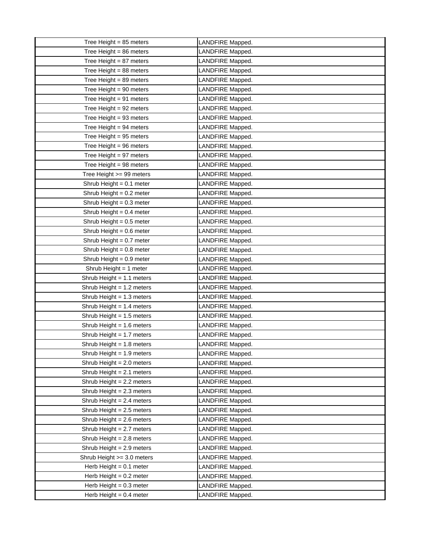| Tree Height = $85$ meters   | LANDFIRE Mapped. |
|-----------------------------|------------------|
| Tree Height = $86$ meters   | LANDFIRE Mapped. |
| Tree Height = $87$ meters   | LANDFIRE Mapped. |
| Tree Height = $88$ meters   | LANDFIRE Mapped. |
| Tree Height = $89$ meters   | LANDFIRE Mapped. |
| Tree Height = $90$ meters   | LANDFIRE Mapped. |
| Tree Height = $91$ meters   | LANDFIRE Mapped. |
| Tree Height = $92$ meters   | LANDFIRE Mapped. |
| Tree Height = $93$ meters   | LANDFIRE Mapped. |
| Tree Height = $94$ meters   | LANDFIRE Mapped. |
| Tree Height = $95$ meters   | LANDFIRE Mapped. |
| Tree Height = $96$ meters   | LANDFIRE Mapped. |
| Tree Height = $97$ meters   | LANDFIRE Mapped. |
| Tree Height = $98$ meters   | LANDFIRE Mapped. |
| Tree Height >= 99 meters    | LANDFIRE Mapped. |
| Shrub Height = $0.1$ meter  | LANDFIRE Mapped. |
| Shrub Height = $0.2$ meter  | LANDFIRE Mapped. |
| Shrub Height = $0.3$ meter  | LANDFIRE Mapped. |
| Shrub Height = $0.4$ meter  | LANDFIRE Mapped. |
| Shrub Height = $0.5$ meter  | LANDFIRE Mapped. |
| Shrub Height = 0.6 meter    | LANDFIRE Mapped. |
| Shrub Height = 0.7 meter    | LANDFIRE Mapped. |
| Shrub Height = 0.8 meter    | LANDFIRE Mapped. |
| Shrub Height = 0.9 meter    | LANDFIRE Mapped. |
| Shrub Height = 1 meter      | LANDFIRE Mapped. |
| Shrub Height = $1.1$ meters | LANDFIRE Mapped. |
| Shrub Height = $1.2$ meters | LANDFIRE Mapped. |
| Shrub Height = $1.3$ meters | LANDFIRE Mapped. |
| Shrub Height = $1.4$ meters | LANDFIRE Mapped. |
| Shrub Height = $1.5$ meters | LANDFIRE Mapped. |
| Shrub Height = $1.6$ meters | LANDFIRE Mapped. |
| Shrub Height = $1.7$ meters | LANDFIRE Mapped. |
| Shrub Height = $1.8$ meters | LANDFIRE Mapped. |
| Shrub Height = $1.9$ meters | LANDFIRE Mapped. |
| Shrub Height = 2.0 meters   | LANDFIRE Mapped. |
| Shrub Height = $2.1$ meters | LANDFIRE Mapped. |
| Shrub Height = 2.2 meters   | LANDFIRE Mapped. |
| Shrub Height = 2.3 meters   | LANDFIRE Mapped. |
| Shrub Height = $2.4$ meters | LANDFIRE Mapped. |
| Shrub Height = 2.5 meters   | LANDFIRE Mapped. |
| Shrub Height = 2.6 meters   | LANDFIRE Mapped. |
| Shrub Height = 2.7 meters   | LANDFIRE Mapped. |
| Shrub Height = 2.8 meters   | LANDFIRE Mapped. |
| Shrub Height = 2.9 meters   | LANDFIRE Mapped. |
| Shrub Height >= 3.0 meters  | LANDFIRE Mapped. |
| Herb Height = $0.1$ meter   | LANDFIRE Mapped. |
| Herb Height = $0.2$ meter   | LANDFIRE Mapped. |
| Herb Height = $0.3$ meter   | LANDFIRE Mapped. |
| Herb Height = $0.4$ meter   | LANDFIRE Mapped. |